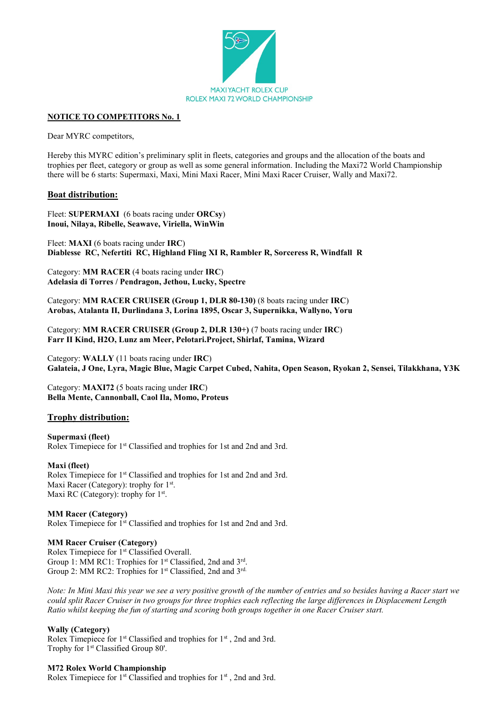

#### **NOTICE TO COMPETITORS No. 1**

Dear MYRC competitors,

Hereby this MYRC edition's preliminary split in fleets, categories and groups and the allocation of the boats and trophies per fleet, category or group as well as some general information. Including the Maxi72 World Championship there will be 6 starts: Supermaxi, Maxi, Mini Maxi Racer, Mini Maxi Racer Cruiser, Wally and Maxi72.

#### **Boat distribution:**

Fleet: **SUPERMAXI** (6 boats racing under **ORCsy**) **Inoui, Nilaya, Ribelle, Seawave, Viriella, WinWin** 

Fleet: **MAXI** (6 boats racing under **IRC**) **Diablesse RC, Nefertiti RC, Highland Fling XI R, Rambler R, Sorceress R, Windfall R**

Category: **MM RACER** (4 boats racing under **IRC**) **Adelasia di Torres / Pendragon, Jethou, Lucky, Spectre**

Category: **MM RACER CRUISER (Group 1, DLR 80-130)** (8 boats racing under **IRC**) **Arobas, Atalanta II, Durlindana 3, Lorina 1895, Oscar 3, Supernikka, Wallyno, Yoru**

Category: **MM RACER CRUISER (Group 2, DLR 130+)** (7 boats racing under **IRC**) **Farr II Kind, H2O, Lunz am Meer, Pelotari.Project, Shirlaf, Tamina, Wizard**

Category: **WALLY** (11 boats racing under **IRC**) **Galateia, J One, Lyra, Magic Blue, Magic Carpet Cubed, Nahita, Open Season, Ryokan 2, Sensei, Tilakkhana, Y3K**

Category: **MAXI72** (5 boats racing under **IRC**) **Bella Mente, Cannonball, Caol Ila, Momo, Proteus**

## **Trophy distribution:**

**Supermaxi (fleet)** Rolex Timepiece for 1st Classified and trophies for 1st and 2nd and 3rd.

#### **Maxi (fleet)**

Rolex Timepiece for 1st Classified and trophies for 1st and 2nd and 3rd. Maxi Racer (Category): trophy for 1<sup>st</sup>. Maxi RC (Category): trophy for 1<sup>st</sup>.

## **MM Racer (Category)**

Rolex Timepiece for 1st Classified and trophies for 1st and 2nd and 3rd.

#### **MM Racer Cruiser (Category)**

Rolex Timepiece for 1<sup>st</sup> Classified Overall. Group 1: MM RC1: Trophies for 1<sup>st</sup> Classified, 2nd and 3<sup>rd</sup>. Group 2: MM RC2: Trophies for 1<sup>st</sup> Classified, 2nd and 3<sup>rd.</sup>

*Note: In Mini Maxi this year we see a very positive growth of the number of entries and so besides having a Racer start we could split Racer Cruiser in two groups for three trophies each reflecting the large differences in Displacement Length Ratio whilst keeping the fun of starting and scoring both groups together in one Racer Cruiser start.*

#### **Wally (Category)**

Rolex Timepiece for 1<sup>st</sup> Classified and trophies for 1<sup>st</sup>, 2nd and 3rd. Trophy for 1<sup>st</sup> Classified Group 80'.

## **M72 Rolex World Championship**

Rolex Timepiece for 1<sup>st</sup> Classified and trophies for 1<sup>st</sup>, 2nd and 3rd.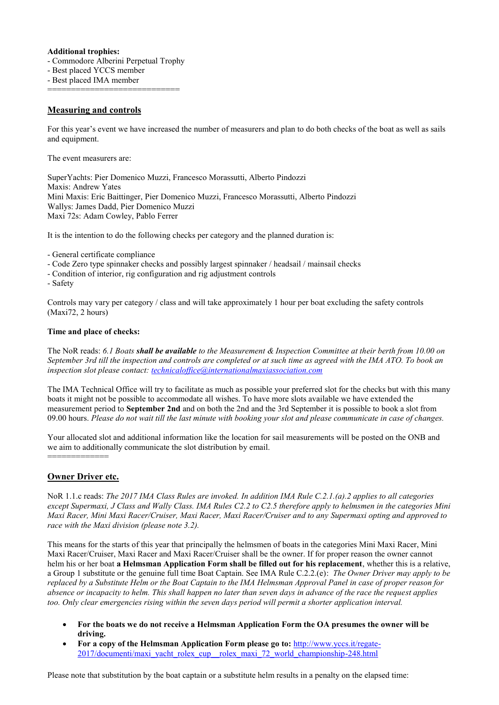## **Additional trophies:**

- Commodore Alberini Perpetual Trophy
- Best placed YCCS member

- Best placed IMA member ===============================

# **Measuring and controls**

For this year's event we have increased the number of measurers and plan to do both checks of the boat as well as sails and equipment.

The event measurers are:

SuperYachts: Pier Domenico Muzzi, Francesco Morassutti, Alberto Pindozzi Maxis: Andrew Yates Mini Maxis: Eric Baittinger, Pier Domenico Muzzi, Francesco Morassutti, Alberto Pindozzi Wallys: James Dadd, Pier Domenico Muzzi Maxi 72s: Adam Cowley, Pablo Ferrer

It is the intention to do the following checks per category and the planned duration is:

- General certificate compliance
- Code Zero type spinnaker checks and possibly largest spinnaker / headsail / mainsail checks
- Condition of interior, rig configuration and rig adjustment controls

- Safety

Controls may vary per category / class and will take approximately 1 hour per boat excluding the safety controls (Maxi72, 2 hours)

## **Time and place of checks:**

The NoR reads: *6.1 Boats shall be available to the Measurement & Inspection Committee at their berth from 10.00 on September 3rd till the inspection and controls are completed or at such time as agreed with the IMA ATO. To book an inspection slot please contact:<technicaloffice@internationalmaxiassociation.com>*

The IMA Technical Office will try to facilitate as much as possible your preferred slot for the checks but with this many boats it might not be possible to accommodate all wishes. To have more slots available we have extended the measurement period to **September 2nd** and on both the 2nd and the 3rd September it is possible to book a slot from 09.00 hours. *Please do not wait till the last minute with booking your slot and please communicate in case of changes.*

Your allocated slot and additional information like the location for sail measurements will be posted on the ONB and we aim to additionally communicate the slot distribution by email.

## **Owner Driver etc.**

==============

NoR 1.1.c reads: *The 2017 IMA Class Rules are invoked. In addition IMA Rule C.2.1.(a).2 applies to all categories except Supermaxi, J Class and Wally Class. IMA Rules C2.2 to C2.5 therefore apply to helmsmen in the categories Mini Maxi Racer, Mini Maxi Racer/Cruiser, Maxi Racer, Maxi Racer/Cruiser and to any Supermaxi opting and approved to race with the Maxi division (please note 3.2).* 

This means for the starts of this year that principally the helmsmen of boats in the categories Mini Maxi Racer, Mini Maxi Racer/Cruiser, Maxi Racer and Maxi Racer/Cruiser shall be the owner. If for proper reason the owner cannot helm his or her boat **a Helmsman Application Form shall be filled out for his replacement**, whether this is a relative, a Group 1 substitute or the genuine full time Boat Captain. See IMA Rule C.2.2.(e): *The Owner Driver may apply to be replaced by a Substitute Helm or the Boat Captain to the IMA Helmsman Approval Panel in case of proper reason for absence or incapacity to helm. This shall happen no later than seven days in advance of the race the request applies too. Only clear emergencies rising within the seven days period will permit a shorter application interval.*

- **For the boats we do not receive a Helmsman Application Form the OA presumes the owner will be driving.**
- **For a copy of the Helmsman Application Form please go to:** [http://www.yccs.it/regate-](http://www.yccs.it/regate-2017/documenti/maxi_yacht_rolex_cup__rolex_maxi_72_world_championship-248.html)[2017/documenti/maxi\\_yacht\\_rolex\\_cup\\_\\_rolex\\_maxi\\_72\\_world\\_championship-248.html](http://www.yccs.it/regate-2017/documenti/maxi_yacht_rolex_cup__rolex_maxi_72_world_championship-248.html)

Please note that substitution by the boat captain or a substitute helm results in a penalty on the elapsed time: